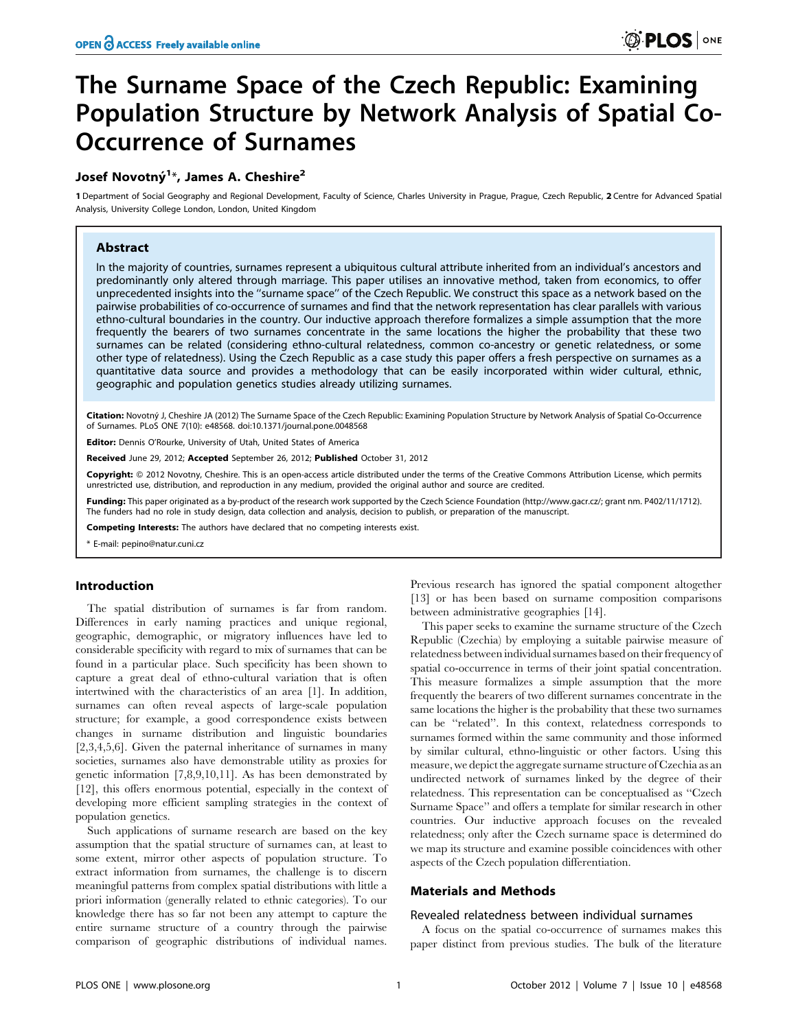# The Surname Space of the Czech Republic: Examining Population Structure by Network Analysis of Spatial Co-Occurrence of Surnames

## Josef Novotný $^{1\ast}$ , James A. Cheshire $^{2}$

1 Department of Social Geography and Regional Development, Faculty of Science, Charles University in Prague, Prague, Czech Republic, 2 Centre for Advanced Spatial Analysis, University College London, London, United Kingdom

## Abstract

In the majority of countries, surnames represent a ubiquitous cultural attribute inherited from an individual's ancestors and predominantly only altered through marriage. This paper utilises an innovative method, taken from economics, to offer unprecedented insights into the ''surname space'' of the Czech Republic. We construct this space as a network based on the pairwise probabilities of co-occurrence of surnames and find that the network representation has clear parallels with various ethno-cultural boundaries in the country. Our inductive approach therefore formalizes a simple assumption that the more frequently the bearers of two surnames concentrate in the same locations the higher the probability that these two surnames can be related (considering ethno-cultural relatedness, common co-ancestry or genetic relatedness, or some other type of relatedness). Using the Czech Republic as a case study this paper offers a fresh perspective on surnames as a quantitative data source and provides a methodology that can be easily incorporated within wider cultural, ethnic, geographic and population genetics studies already utilizing surnames.

Citation: Novotný J, Cheshire JA (2012) The Surname Space of the Czech Republic: Examining Population Structure by Network Analysis of Spatial Co-Occurrence of Surnames. PLoS ONE 7(10): e48568. doi:10.1371/journal.pone.0048568

Editor: Dennis O'Rourke, University of Utah, United States of America

Received June 29, 2012; Accepted September 26, 2012; Published October 31, 2012

**Copyright:** © 2012 Novotny, Cheshire. This is an open-access article distributed under the terms of the Creative Commons Attribution License, which permits unrestricted use, distribution, and reproduction in any medium, provided the original author and source are credited.

Funding: This paper originated as a by-product of the research work supported by the Czech Science Foundation (http://www.gacr.cz/; grant nm. P402/11/1712). The funders had no role in study design, data collection and analysis, decision to publish, or preparation of the manuscript.

Competing Interests: The authors have declared that no competing interests exist.

\* E-mail: pepino@natur.cuni.cz

#### Introduction

The spatial distribution of surnames is far from random. Differences in early naming practices and unique regional, geographic, demographic, or migratory influences have led to considerable specificity with regard to mix of surnames that can be found in a particular place. Such specificity has been shown to capture a great deal of ethno-cultural variation that is often intertwined with the characteristics of an area [1]. In addition, surnames can often reveal aspects of large-scale population structure; for example, a good correspondence exists between changes in surname distribution and linguistic boundaries [2,3,4,5,6]. Given the paternal inheritance of surnames in many societies, surnames also have demonstrable utility as proxies for genetic information [7,8,9,10,11]. As has been demonstrated by [12], this offers enormous potential, especially in the context of developing more efficient sampling strategies in the context of population genetics.

Such applications of surname research are based on the key assumption that the spatial structure of surnames can, at least to some extent, mirror other aspects of population structure. To extract information from surnames, the challenge is to discern meaningful patterns from complex spatial distributions with little a priori information (generally related to ethnic categories). To our knowledge there has so far not been any attempt to capture the entire surname structure of a country through the pairwise comparison of geographic distributions of individual names.

Previous research has ignored the spatial component altogether [13] or has been based on surname composition comparisons between administrative geographies [14].

This paper seeks to examine the surname structure of the Czech Republic (Czechia) by employing a suitable pairwise measure of relatedness between individual surnames based on their frequency of spatial co-occurrence in terms of their joint spatial concentration. This measure formalizes a simple assumption that the more frequently the bearers of two different surnames concentrate in the same locations the higher is the probability that these two surnames can be ''related''. In this context, relatedness corresponds to surnames formed within the same community and those informed by similar cultural, ethno-linguistic or other factors. Using this measure, we depict the aggregate surname structure of Czechia as an undirected network of surnames linked by the degree of their relatedness. This representation can be conceptualised as ''Czech Surname Space'' and offers a template for similar research in other countries. Our inductive approach focuses on the revealed relatedness; only after the Czech surname space is determined do we map its structure and examine possible coincidences with other aspects of the Czech population differentiation.

### Materials and Methods

## Revealed relatedness between individual surnames

A focus on the spatial co-occurrence of surnames makes this paper distinct from previous studies. The bulk of the literature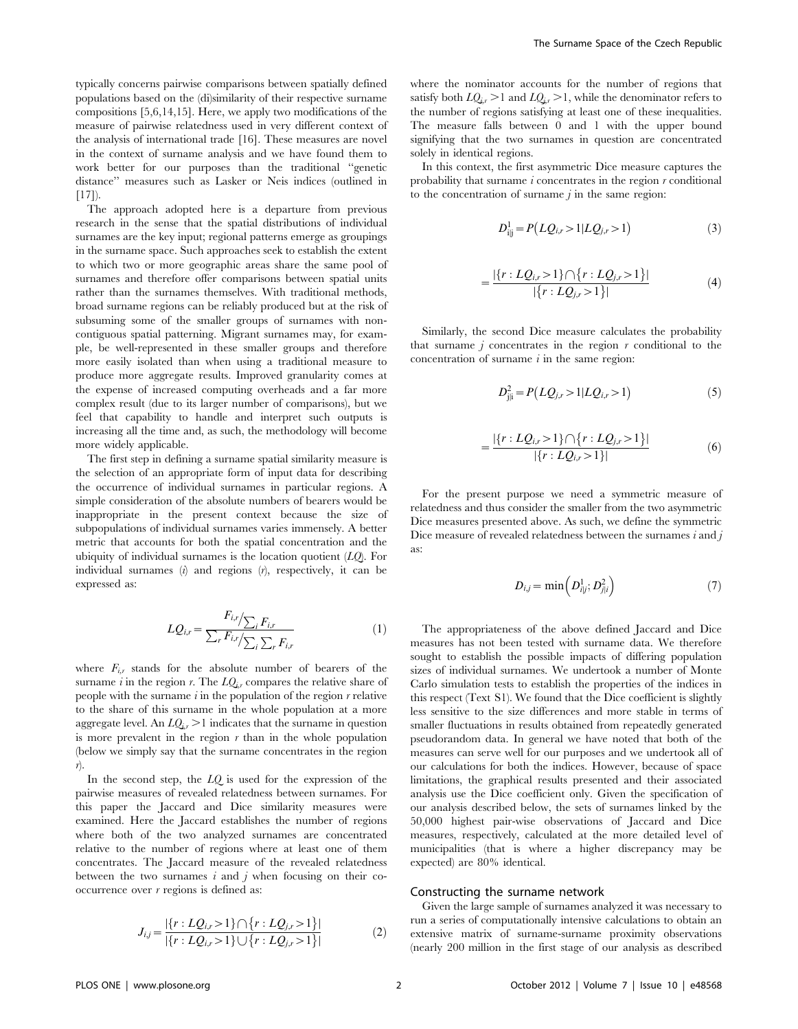typically concerns pairwise comparisons between spatially defined populations based on the (di)similarity of their respective surname compositions [5,6,14,15]. Here, we apply two modifications of the measure of pairwise relatedness used in very different context of the analysis of international trade [16]. These measures are novel in the context of surname analysis and we have found them to work better for our purposes than the traditional ''genetic distance'' measures such as Lasker or Neis indices (outlined in  $[17]$ .

The approach adopted here is a departure from previous research in the sense that the spatial distributions of individual surnames are the key input; regional patterns emerge as groupings in the surname space. Such approaches seek to establish the extent to which two or more geographic areas share the same pool of surnames and therefore offer comparisons between spatial units rather than the surnames themselves. With traditional methods, broad surname regions can be reliably produced but at the risk of subsuming some of the smaller groups of surnames with noncontiguous spatial patterning. Migrant surnames may, for example, be well-represented in these smaller groups and therefore more easily isolated than when using a traditional measure to produce more aggregate results. Improved granularity comes at the expense of increased computing overheads and a far more complex result (due to its larger number of comparisons), but we feel that capability to handle and interpret such outputs is increasing all the time and, as such, the methodology will become more widely applicable.

The first step in defining a surname spatial similarity measure is the selection of an appropriate form of input data for describing the occurrence of individual surnames in particular regions. A simple consideration of the absolute numbers of bearers would be inappropriate in the present context because the size of subpopulations of individual surnames varies immensely. A better metric that accounts for both the spatial concentration and the ubiquity of individual surnames is the location quotient  $(LQ)$ . For individual surnames  $(i)$  and regions  $(r)$ , respectively, it can be expressed as:

$$
LQ_{i,r} = \frac{F_{i,r}/\sum_{i} F_{i,r}}{\sum_{r} F_{i,r}/\sum_{i} \sum_{r} F_{i,r}}
$$
(1)

where  $F_{i,r}$  stands for the absolute number of bearers of the surname i in the region r. The  $LQ_{ir}$  compares the relative share of people with the surname  $i$  in the population of the region  $r$  relative to the share of this surname in the whole population at a more aggregate level. An  $LQ_{ir} > 1$  indicates that the surname in question is more prevalent in the region  $r$  than in the whole population (below we simply say that the surname concentrates in the region r).

In the second step, the  $LQ$  is used for the expression of the pairwise measures of revealed relatedness between surnames. For this paper the Jaccard and Dice similarity measures were examined. Here the Jaccard establishes the number of regions where both of the two analyzed surnames are concentrated relative to the number of regions where at least one of them concentrates. The Jaccard measure of the revealed relatedness between the two surnames  $i$  and  $j$  when focusing on their cooccurrence over r regions is defined as:

$$
J_{i,j} = \frac{|\{r: LQ_{i,r} > 1\} \cap \{r: LQ_{j,r} > 1\}|}{|\{r: LQ_{i,r} > 1\} \cup \{r: LQ_{j,r} > 1\}|}
$$
(2)

where the nominator accounts for the number of regions that satisfy both  $LQ_{ir} > 1$  and  $LQ_{ir} > 1$ , while the denominator refers to the number of regions satisfying at least one of these inequalities. The measure falls between 0 and 1 with the upper bound signifying that the two surnames in question are concentrated solely in identical regions.

In this context, the first asymmetric Dice measure captures the probability that surname  $i$  concentrates in the region  $r$  conditional to the concentration of surname  $j$  in the same region:

$$
D_{i|j}^{1} = P(LQ_{i,r} > 1 | LQ_{j,r} > 1)
$$
\n(3)

$$
=\frac{|\{r: LQ_{i,r} > 1\} \cap \{r: LQ_{j,r} > 1\}|}{|\{r: LQ_{j,r} > 1\}|}\tag{4}
$$

Similarly, the second Dice measure calculates the probability that surname  $j$  concentrates in the region  $r$  conditional to the concentration of surname  $i$  in the same region:

$$
D_{j|i}^{2} = P(LQ_{j,r} > 1 | LQ_{i,r} > 1)
$$
\n(5)

$$
=\frac{|\{r: LQ_{i,r}>1\}\cap\{r: LQ_{j,r}>1\}|}{|\{r: LQ_{i,r}>1\}|}\tag{6}
$$

For the present purpose we need a symmetric measure of relatedness and thus consider the smaller from the two asymmetric Dice measures presented above. As such, we define the symmetric Dice measure of revealed relatedness between the surnames  $i$  and  $j$ as:

$$
D_{i,j} = \min\left(D_{i|j}^1; D_{j|i}^2\right) \tag{7}
$$

The appropriateness of the above defined Jaccard and Dice measures has not been tested with surname data. We therefore sought to establish the possible impacts of differing population sizes of individual surnames. We undertook a number of Monte Carlo simulation tests to establish the properties of the indices in this respect (Text S1). We found that the Dice coefficient is slightly less sensitive to the size differences and more stable in terms of smaller fluctuations in results obtained from repeatedly generated pseudorandom data. In general we have noted that both of the measures can serve well for our purposes and we undertook all of our calculations for both the indices. However, because of space limitations, the graphical results presented and their associated analysis use the Dice coefficient only. Given the specification of our analysis described below, the sets of surnames linked by the 50,000 highest pair-wise observations of Jaccard and Dice measures, respectively, calculated at the more detailed level of municipalities (that is where a higher discrepancy may be expected) are 80% identical.

#### Constructing the surname network

Given the large sample of surnames analyzed it was necessary to run a series of computationally intensive calculations to obtain an extensive matrix of surname-surname proximity observations (nearly 200 million in the first stage of our analysis as described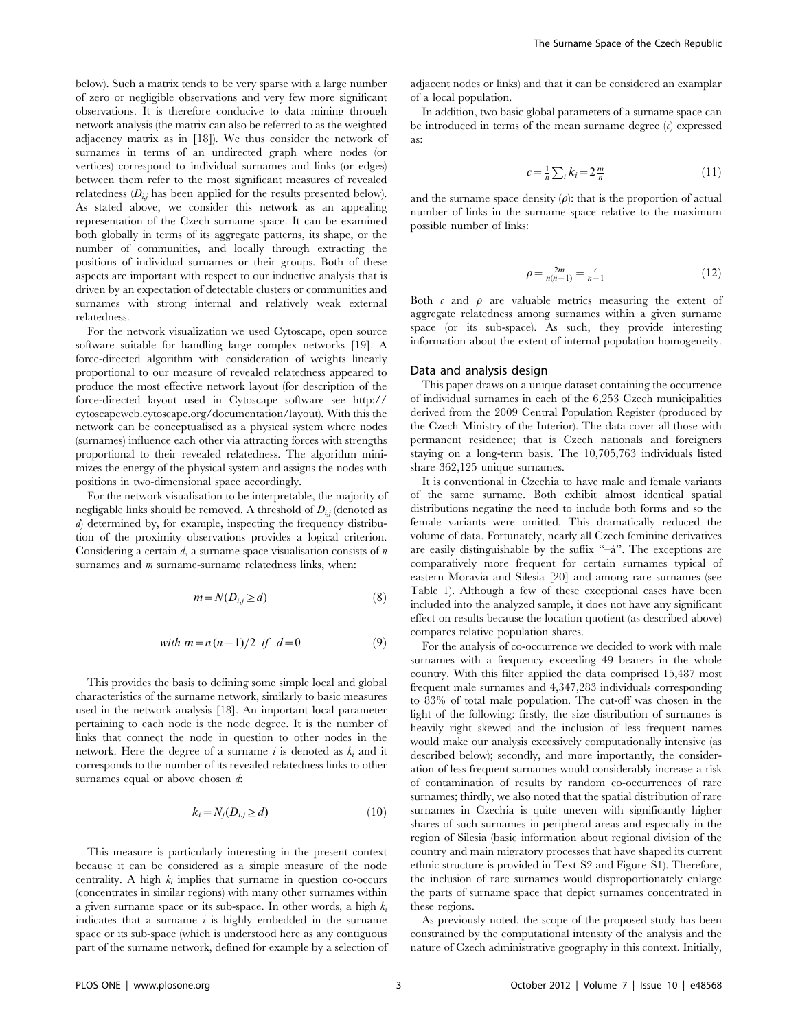below). Such a matrix tends to be very sparse with a large number of zero or negligible observations and very few more significant observations. It is therefore conducive to data mining through network analysis (the matrix can also be referred to as the weighted adjacency matrix as in [18]). We thus consider the network of surnames in terms of an undirected graph where nodes (or vertices) correspond to individual surnames and links (or edges) between them refer to the most significant measures of revealed relatedness  $(D_{i,j}$  has been applied for the results presented below). As stated above, we consider this network as an appealing representation of the Czech surname space. It can be examined both globally in terms of its aggregate patterns, its shape, or the number of communities, and locally through extracting the positions of individual surnames or their groups. Both of these aspects are important with respect to our inductive analysis that is driven by an expectation of detectable clusters or communities and surnames with strong internal and relatively weak external relatedness.

For the network visualization we used Cytoscape, open source software suitable for handling large complex networks [19]. A force-directed algorithm with consideration of weights linearly proportional to our measure of revealed relatedness appeared to produce the most effective network layout (for description of the force-directed layout used in Cytoscape software see http:// cytoscapeweb.cytoscape.org/documentation/layout). With this the network can be conceptualised as a physical system where nodes (surnames) influence each other via attracting forces with strengths proportional to their revealed relatedness. The algorithm minimizes the energy of the physical system and assigns the nodes with positions in two-dimensional space accordingly.

For the network visualisation to be interpretable, the majority of negligable links should be removed. A threshold of  $D_{i,j}$  (denoted as d) determined by, for example, inspecting the frequency distribution of the proximity observations provides a logical criterion. Considering a certain  $d$ , a surname space visualisation consists of  $n$ surnames and  $m$  surname-surname relatedness links, when:

$$
m = N(D_{i,j} \ge d) \tag{8}
$$

with 
$$
m = n(n-1)/2
$$
 if  $d = 0$  (9)

This provides the basis to defining some simple local and global characteristics of the surname network, similarly to basic measures used in the network analysis [18]. An important local parameter pertaining to each node is the node degree. It is the number of links that connect the node in question to other nodes in the network. Here the degree of a surname i is denoted as  $k_i$  and it corresponds to the number of its revealed relatedness links to other surnames equal or above chosen  $d$ :

$$
k_i = N_j(D_{i,j} \ge d) \tag{10}
$$

This measure is particularly interesting in the present context because it can be considered as a simple measure of the node centrality. A high  $k_i$  implies that surname in question co-occurs (concentrates in similar regions) with many other surnames within a given surname space or its sub-space. In other words, a high  $k_i$ indicates that a surname  $i$  is highly embedded in the surname space or its sub-space (which is understood here as any contiguous part of the surname network, defined for example by a selection of adjacent nodes or links) and that it can be considered an examplar of a local population.

In addition, two basic global parameters of a surname space can be introduced in terms of the mean surname degree  $(c)$  expressed as:

$$
c = \frac{1}{n} \sum_{i} k_i = 2 \frac{m}{n}
$$
 (11)

and the surname space density  $(\rho)$ : that is the proportion of actual number of links in the surname space relative to the maximum possible number of links:

$$
\rho = \frac{2m}{n(n-1)} = \frac{c}{n-1} \tag{12}
$$

Both c and  $\rho$  are valuable metrics measuring the extent of aggregate relatedness among surnames within a given surname space (or its sub-space). As such, they provide interesting information about the extent of internal population homogeneity.

#### Data and analysis design

This paper draws on a unique dataset containing the occurrence of individual surnames in each of the 6,253 Czech municipalities derived from the 2009 Central Population Register (produced by the Czech Ministry of the Interior). The data cover all those with permanent residence; that is Czech nationals and foreigners staying on a long-term basis. The 10,705,763 individuals listed share 362,125 unique surnames.

It is conventional in Czechia to have male and female variants of the same surname. Both exhibit almost identical spatial distributions negating the need to include both forms and so the female variants were omitted. This dramatically reduced the volume of data. Fortunately, nearly all Czech feminine derivatives are easily distinguishable by the suffix  $-4$ . The exceptions are comparatively more frequent for certain surnames typical of eastern Moravia and Silesia [20] and among rare surnames (see Table 1). Although a few of these exceptional cases have been included into the analyzed sample, it does not have any significant effect on results because the location quotient (as described above) compares relative population shares.

For the analysis of co-occurrence we decided to work with male surnames with a frequency exceeding 49 bearers in the whole country. With this filter applied the data comprised 15,487 most frequent male surnames and 4,347,283 individuals corresponding to 83% of total male population. The cut-off was chosen in the light of the following: firstly, the size distribution of surnames is heavily right skewed and the inclusion of less frequent names would make our analysis excessively computationally intensive (as described below); secondly, and more importantly, the consideration of less frequent surnames would considerably increase a risk of contamination of results by random co-occurrences of rare surnames; thirdly, we also noted that the spatial distribution of rare surnames in Czechia is quite uneven with significantly higher shares of such surnames in peripheral areas and especially in the region of Silesia (basic information about regional division of the country and main migratory processes that have shaped its current ethnic structure is provided in Text S2 and Figure S1). Therefore, the inclusion of rare surnames would disproportionately enlarge the parts of surname space that depict surnames concentrated in these regions.

As previously noted, the scope of the proposed study has been constrained by the computational intensity of the analysis and the nature of Czech administrative geography in this context. Initially,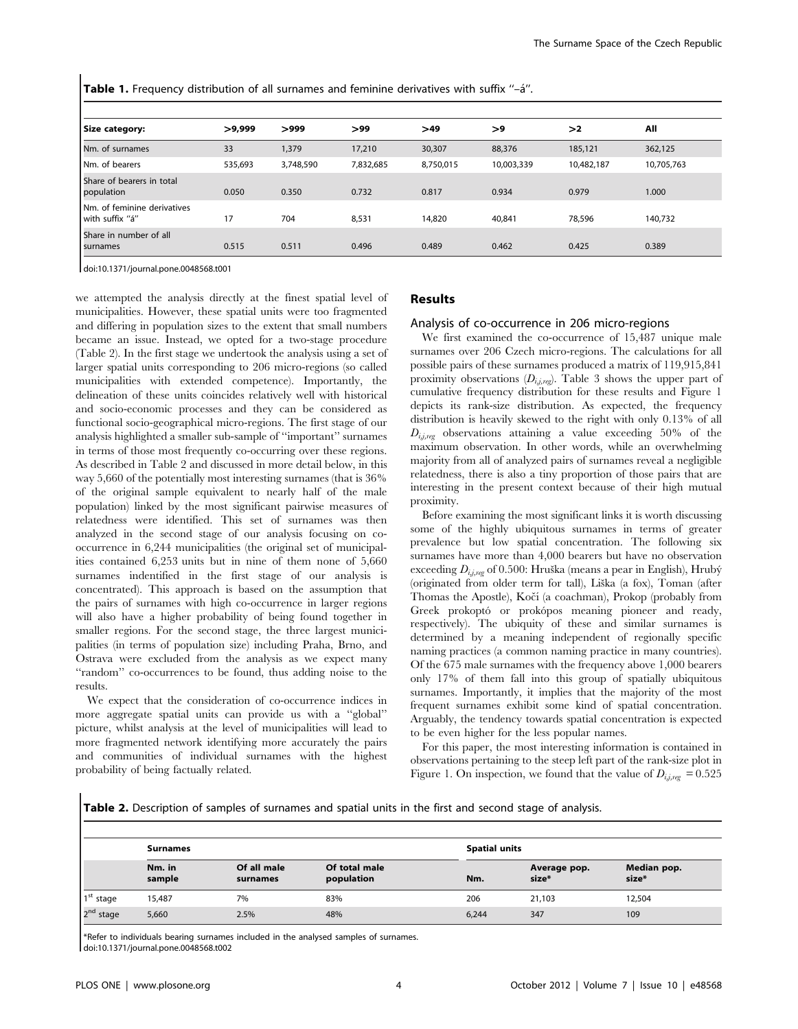Table 1. Frequency distribution of all surnames and feminine derivatives with suffix "-a".

| Size category:                                  | >9,999  | >999      | >99       | >49       | >9         | >2         | All        |
|-------------------------------------------------|---------|-----------|-----------|-----------|------------|------------|------------|
| Nm. of surnames                                 | 33      | 1,379     | 17,210    | 30,307    | 88,376     | 185,121    | 362,125    |
| Nm. of bearers                                  | 535,693 | 3,748,590 | 7,832,685 | 8,750,015 | 10,003,339 | 10,482,187 | 10,705,763 |
| Share of bearers in total<br>population         | 0.050   | 0.350     | 0.732     | 0.817     | 0.934      | 0.979      | 1.000      |
| INm. of feminine derivatives<br>with suffix "á" | 17      | 704       | 8,531     | 14,820    | 40,841     | 78,596     | 140,732    |
| Share in number of all<br>surnames              | 0.515   | 0.511     | 0.496     | 0.489     | 0.462      | 0.425      | 0.389      |

doi:10.1371/journal.pone.0048568.t001

we attempted the analysis directly at the finest spatial level of municipalities. However, these spatial units were too fragmented and differing in population sizes to the extent that small numbers became an issue. Instead, we opted for a two-stage procedure (Table 2). In the first stage we undertook the analysis using a set of larger spatial units corresponding to 206 micro-regions (so called municipalities with extended competence). Importantly, the delineation of these units coincides relatively well with historical and socio-economic processes and they can be considered as functional socio-geographical micro-regions. The first stage of our analysis highlighted a smaller sub-sample of ''important'' surnames in terms of those most frequently co-occurring over these regions. As described in Table 2 and discussed in more detail below, in this way 5,660 of the potentially most interesting surnames (that is 36% of the original sample equivalent to nearly half of the male population) linked by the most significant pairwise measures of relatedness were identified. This set of surnames was then analyzed in the second stage of our analysis focusing on cooccurrence in 6,244 municipalities (the original set of municipalities contained 6,253 units but in nine of them none of 5,660 surnames indentified in the first stage of our analysis is concentrated). This approach is based on the assumption that the pairs of surnames with high co-occurrence in larger regions will also have a higher probability of being found together in smaller regions. For the second stage, the three largest municipalities (in terms of population size) including Praha, Brno, and Ostrava were excluded from the analysis as we expect many ''random'' co-occurrences to be found, thus adding noise to the results.

We expect that the consideration of co-occurrence indices in more aggregate spatial units can provide us with a ''global'' picture, whilst analysis at the level of municipalities will lead to more fragmented network identifying more accurately the pairs and communities of individual surnames with the highest probability of being factually related.

## Results

#### Analysis of co-occurrence in 206 micro-regions

We first examined the co-occurrence of 15,487 unique male surnames over 206 Czech micro-regions. The calculations for all possible pairs of these surnames produced a matrix of 119,915,841 proximity observations  $(D_{i,j,reg})$ . Table 3 shows the upper part of cumulative frequency distribution for these results and Figure 1 depicts its rank-size distribution. As expected, the frequency distribution is heavily skewed to the right with only 0.13% of all  $D_{ij,reg}$  observations attaining a value exceeding 50% of the maximum observation. In other words, while an overwhelming majority from all of analyzed pairs of surnames reveal a negligible relatedness, there is also a tiny proportion of those pairs that are interesting in the present context because of their high mutual proximity.

Before examining the most significant links it is worth discussing some of the highly ubiquitous surnames in terms of greater prevalence but low spatial concentration. The following six surnames have more than 4,000 bearers but have no observation exceeding  $D_{ij,reg}$  of 0.500: Hruška (means a pear in English), Hrubý (originated from older term for tall), Liška (a fox), Toman (after Thomas the Apostle), Kočí (a coachman), Prokop (probably from Greek prokoptó or prokópos meaning pioneer and ready, respectively). The ubiquity of these and similar surnames is determined by a meaning independent of regionally specific naming practices (a common naming practice in many countries). Of the 675 male surnames with the frequency above 1,000 bearers only 17% of them fall into this group of spatially ubiquitous surnames. Importantly, it implies that the majority of the most frequent surnames exhibit some kind of spatial concentration. Arguably, the tendency towards spatial concentration is expected to be even higher for the less popular names.

For this paper, the most interesting information is contained in observations pertaining to the steep left part of the rank-size plot in Figure 1. On inspection, we found that the value of  $D_{i,j,reg} = 0.525$ 

Table 2. Description of samples of surnames and spatial units in the first and second stage of analysis.

|                       | <b>Surnames</b>  |                         |                             | <b>Spatial units</b> |                       |                      |
|-----------------------|------------------|-------------------------|-----------------------------|----------------------|-----------------------|----------------------|
|                       | Nm. in<br>sample | Of all male<br>surnames | Of total male<br>population | Nm.                  | Average pop.<br>size* | Median pop.<br>size* |
| $1st$ stage           | 15,487           | 7%                      | 83%                         | 206                  | 21,103                | 12,504               |
| 2 <sup>nd</sup> stage | 5,660            | 2.5%                    | 48%                         | 6,244                | 347                   | 109                  |

\*Refer to individuals bearing surnames included in the analysed samples of surnames. doi:10.1371/journal.pone.0048568.t002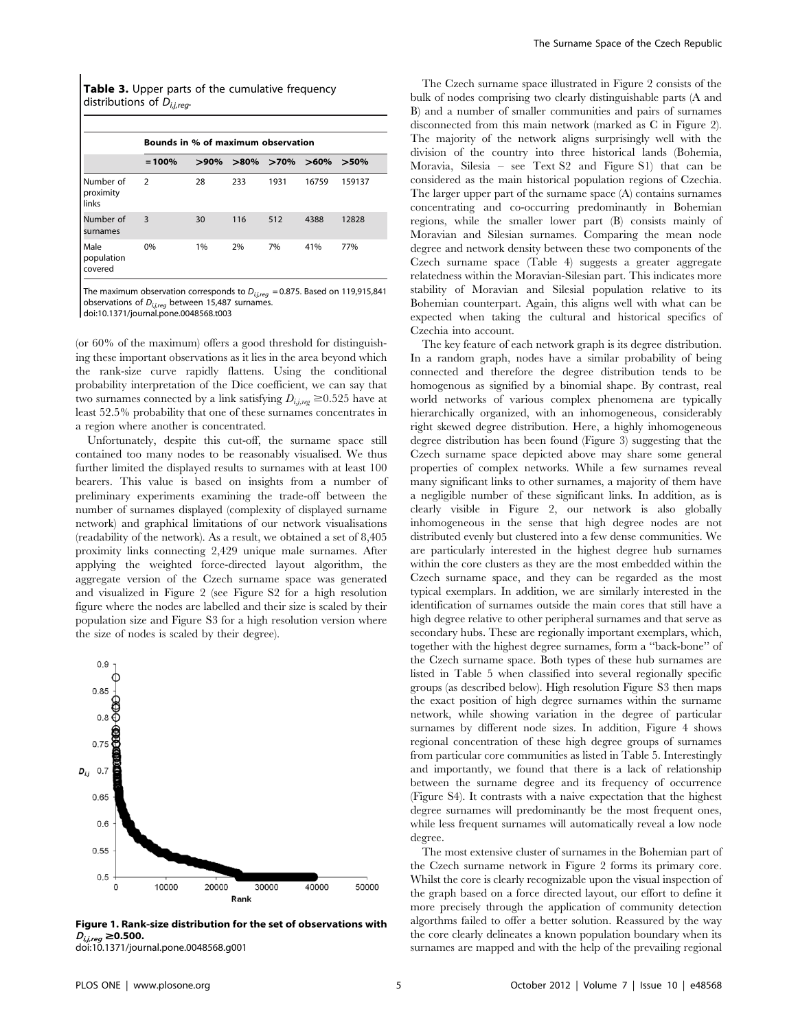Table 3. Upper parts of the cumulative frequency distributions of  $D_{i,j,req}$ .

|                                 | Bounds in % of maximum observation |         |         |                |       |         |
|---------------------------------|------------------------------------|---------|---------|----------------|-------|---------|
|                                 | $= 100%$                           | $>90\%$ | $>80\%$ | $>70\% > 60\%$ |       | $>50\%$ |
| Number of<br>proximity<br>links | $\overline{2}$                     | 28      | 233     | 1931           | 16759 | 159137  |
| Number of<br>surnames           | 3                                  | 30      | 116     | 512            | 4388  | 12828   |
| Male<br>population<br>covered   | 0%                                 | 1%      | 2%      | 7%             | 41%   | 77%     |

The maximum observation corresponds to  $D_{i,j,reg} = 0.875$ . Based on 119,915,841 observations of  $D_{i,j,reg}$  between 15,487 surnames.

doi:10.1371/journal.pone.0048568.t003

(or 60% of the maximum) offers a good threshold for distinguishing these important observations as it lies in the area beyond which the rank-size curve rapidly flattens. Using the conditional probability interpretation of the Dice coefficient, we can say that two surnames connected by a link satisfying  $D_{i,j,reg} \geq 0.525$  have at least 52.5% probability that one of these surnames concentrates in a region where another is concentrated.

Unfortunately, despite this cut-off, the surname space still contained too many nodes to be reasonably visualised. We thus further limited the displayed results to surnames with at least 100 bearers. This value is based on insights from a number of preliminary experiments examining the trade-off between the number of surnames displayed (complexity of displayed surname network) and graphical limitations of our network visualisations (readability of the network). As a result, we obtained a set of 8,405 proximity links connecting 2,429 unique male surnames. After applying the weighted force-directed layout algorithm, the aggregate version of the Czech surname space was generated and visualized in Figure 2 (see Figure S2 for a high resolution figure where the nodes are labelled and their size is scaled by their population size and Figure S3 for a high resolution version where the size of nodes is scaled by their degree).



Figure 1. Rank-size distribution for the set of observations with  $D_{i,j,reg} \geq 0.500$ . doi:10.1371/journal.pone.0048568.g001

The Czech surname space illustrated in Figure 2 consists of the bulk of nodes comprising two clearly distinguishable parts (A and B) and a number of smaller communities and pairs of surnames disconnected from this main network (marked as C in Figure 2). The majority of the network aligns surprisingly well with the division of the country into three historical lands (Bohemia, Moravia, Silesia – see Text S2 and Figure S1) that can be considered as the main historical population regions of Czechia. The larger upper part of the surname space (A) contains surnames concentrating and co-occurring predominantly in Bohemian regions, while the smaller lower part (B) consists mainly of Moravian and Silesian surnames. Comparing the mean node degree and network density between these two components of the Czech surname space (Table 4) suggests a greater aggregate relatedness within the Moravian-Silesian part. This indicates more stability of Moravian and Silesial population relative to its Bohemian counterpart. Again, this aligns well with what can be expected when taking the cultural and historical specifics of Czechia into account.

The key feature of each network graph is its degree distribution. In a random graph, nodes have a similar probability of being connected and therefore the degree distribution tends to be homogenous as signified by a binomial shape. By contrast, real world networks of various complex phenomena are typically hierarchically organized, with an inhomogeneous, considerably right skewed degree distribution. Here, a highly inhomogeneous degree distribution has been found (Figure 3) suggesting that the Czech surname space depicted above may share some general properties of complex networks. While a few surnames reveal many significant links to other surnames, a majority of them have a negligible number of these significant links. In addition, as is clearly visible in Figure 2, our network is also globally inhomogeneous in the sense that high degree nodes are not distributed evenly but clustered into a few dense communities. We are particularly interested in the highest degree hub surnames within the core clusters as they are the most embedded within the Czech surname space, and they can be regarded as the most typical exemplars. In addition, we are similarly interested in the identification of surnames outside the main cores that still have a high degree relative to other peripheral surnames and that serve as secondary hubs. These are regionally important exemplars, which, together with the highest degree surnames, form a ''back-bone'' of the Czech surname space. Both types of these hub surnames are listed in Table 5 when classified into several regionally specific groups (as described below). High resolution Figure S3 then maps the exact position of high degree surnames within the surname network, while showing variation in the degree of particular surnames by different node sizes. In addition, Figure 4 shows regional concentration of these high degree groups of surnames from particular core communities as listed in Table 5. Interestingly and importantly, we found that there is a lack of relationship between the surname degree and its frequency of occurrence (Figure S4). It contrasts with a naive expectation that the highest degree surnames will predominantly be the most frequent ones, while less frequent surnames will automatically reveal a low node degree.

The most extensive cluster of surnames in the Bohemian part of the Czech surname network in Figure 2 forms its primary core. Whilst the core is clearly recognizable upon the visual inspection of the graph based on a force directed layout, our effort to define it more precisely through the application of community detection algorthms failed to offer a better solution. Reassured by the way the core clearly delineates a known population boundary when its surnames are mapped and with the help of the prevailing regional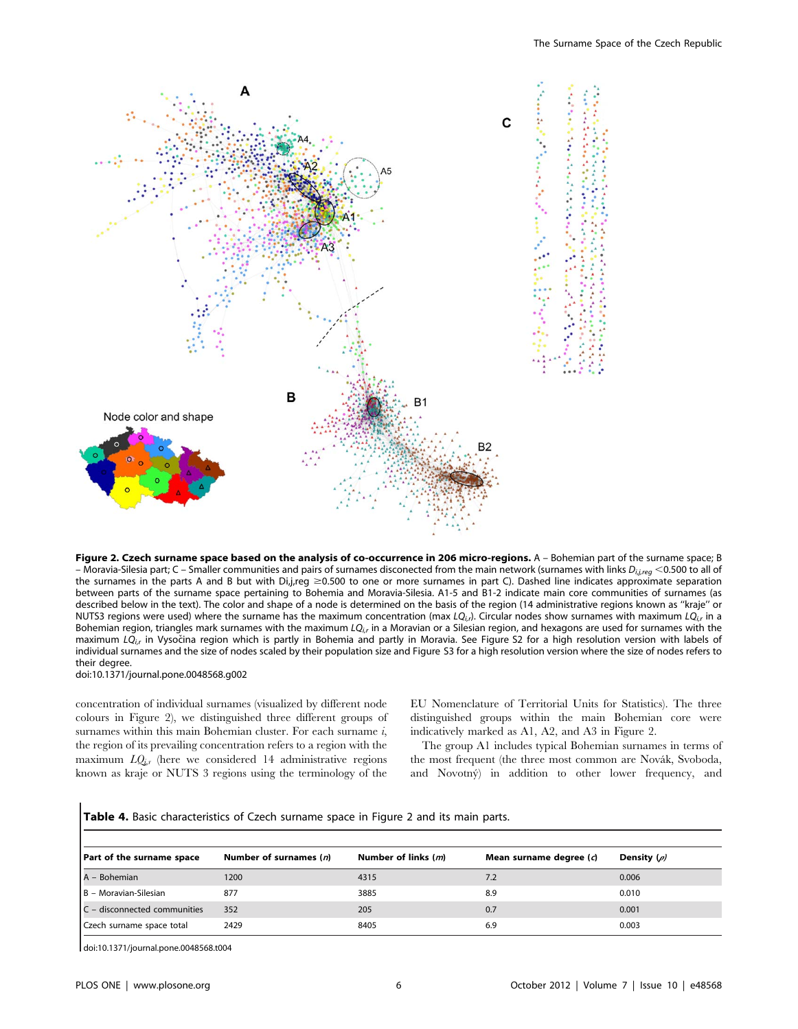

Figure 2. Czech surname space based on the analysis of co-occurrence in 206 micro-regions. A - Bohemian part of the surname space; B – Moravia-Silesia part; C – Smaller communities and pairs of surnames disconected from the main network (surnames with links  $D_{i,i,req}$  < 0.500 to all of the surnames in the parts A and B but with Di,j,reg ≥0.500 to one or more surnames in part C). Dashed line indicates approximate separation between parts of the surname space pertaining to Bohemia and Moravia-Silesia. A1-5 and B1-2 indicate main core communities of surnames (as described below in the text). The color and shape of a node is determined on the basis of the region (14 administrative regions known as ''kraje'' or NUTS3 regions were used) where the surname has the maximum concentration (max  $LQ_{i,r}$ ). Circular nodes show surnames with maximum  $LQ_{i,r}$  in a Bohemian region, triangles mark surnames with the maximum  $LQ_{ir}$  in a Moravian or a Silesian region, and hexagons are used for surnames with the maximum  $L\tilde{Q}_{ir}$  in Vysoc̆ina region which is partly in Bohemia and partly in Moravia. See Figure S2 for a high resolution version with labels of individual surnames and the size of nodes scaled by their population size and Figure S3 for a high resolution version where the size of nodes refers to their degree.

doi:10.1371/journal.pone.0048568.g002

concentration of individual surnames (visualized by different node colours in Figure 2), we distinguished three different groups of surnames within this main Bohemian cluster. For each surname  $i$ , the region of its prevailing concentration refers to a region with the maximum  $LQ_{i,r}$  (here we considered 14 administrative regions known as kraje or NUTS 3 regions using the terminology of the

EU Nomenclature of Territorial Units for Statistics). The three distinguished groups within the main Bohemian core were indicatively marked as A1, A2, and A3 in Figure 2.

The group A1 includes typical Bohemian surnames in terms of the most frequent (the three most common are Novák, Svoboda, and Novotný) in addition to other lower frequency, and

| Table 4. Basic characteristics of Czech surname space in Figure 2 and its main parts |  |  |  |  |  |  |  |  |
|--------------------------------------------------------------------------------------|--|--|--|--|--|--|--|--|
|--------------------------------------------------------------------------------------|--|--|--|--|--|--|--|--|

| Part of the surname space      | Number of surnames $(n)$ | Number of links (m) | Mean surname degree $(c)$ | Density $(\rho)$ |
|--------------------------------|--------------------------|---------------------|---------------------------|------------------|
| A - Bohemian                   | 1200                     | 4315                | 7.2                       | 0.006            |
| $B - Moravian-Silesian$        | 877                      | 3885                | 8.9                       | 0.010            |
| $C -$ disconnected communities | 352                      | 205                 | 0.7                       | 0.001            |
| Czech surname space total      | 2429                     | 8405                | 6.9                       | 0.003            |

doi:10.1371/journal.pone.0048568.t004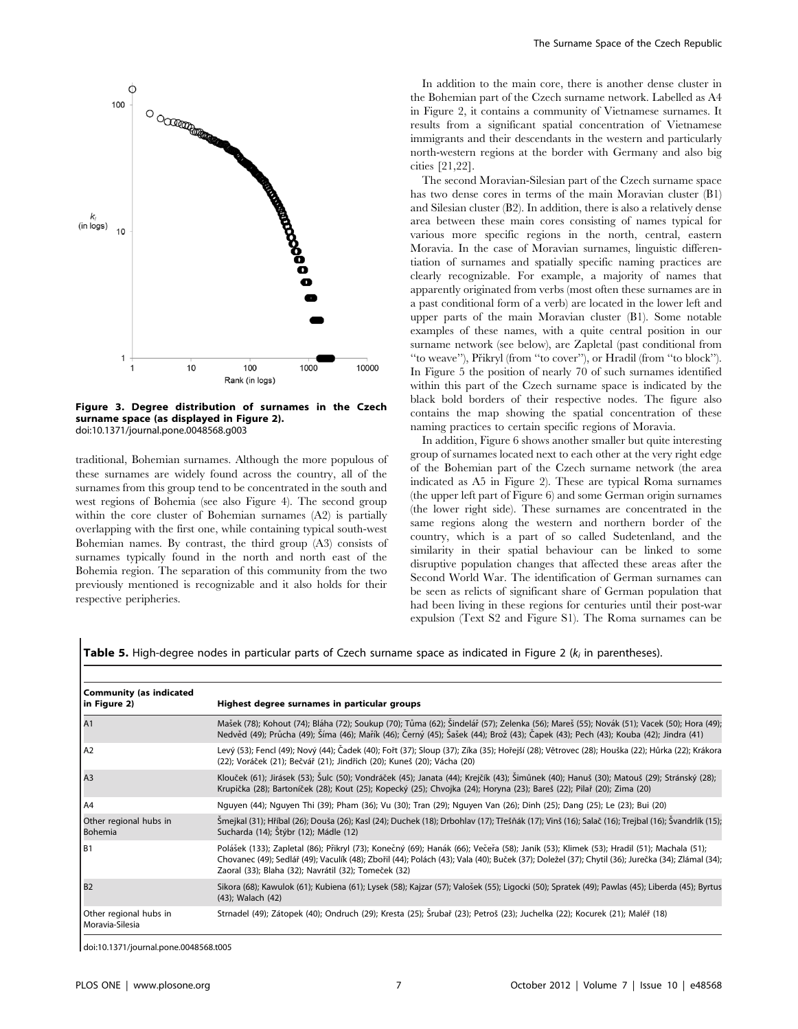

Figure 3. Degree distribution of surnames in the Czech surname space (as displayed in Figure 2). doi:10.1371/journal.pone.0048568.g003

traditional, Bohemian surnames. Although the more populous of these surnames are widely found across the country, all of the surnames from this group tend to be concentrated in the south and west regions of Bohemia (see also Figure 4). The second group within the core cluster of Bohemian surnames (A2) is partially overlapping with the first one, while containing typical south-west Bohemian names. By contrast, the third group (A3) consists of surnames typically found in the north and north east of the Bohemia region. The separation of this community from the two previously mentioned is recognizable and it also holds for their respective peripheries.

In addition to the main core, there is another dense cluster in the Bohemian part of the Czech surname network. Labelled as A4 in Figure 2, it contains a community of Vietnamese surnames. It results from a significant spatial concentration of Vietnamese immigrants and their descendants in the western and particularly north-western regions at the border with Germany and also big cities [21,22].

The second Moravian-Silesian part of the Czech surname space has two dense cores in terms of the main Moravian cluster (B1) and Silesian cluster (B2). In addition, there is also a relatively dense area between these main cores consisting of names typical for various more specific regions in the north, central, eastern Moravia. In the case of Moravian surnames, linguistic differentiation of surnames and spatially specific naming practices are clearly recognizable. For example, a majority of names that apparently originated from verbs (most often these surnames are in a past conditional form of a verb) are located in the lower left and upper parts of the main Moravian cluster (B1). Some notable examples of these names, with a quite central position in our surname network (see below), are Zapletal (past conditional from "to weave"), Přikryl (from "to cover"), or Hradil (from "to block"). In Figure 5 the position of nearly 70 of such surnames identified within this part of the Czech surname space is indicated by the black bold borders of their respective nodes. The figure also contains the map showing the spatial concentration of these naming practices to certain specific regions of Moravia.

In addition, Figure 6 shows another smaller but quite interesting group of surnames located next to each other at the very right edge of the Bohemian part of the Czech surname network (the area indicated as A5 in Figure 2). These are typical Roma surnames (the upper left part of Figure 6) and some German origin surnames (the lower right side). These surnames are concentrated in the same regions along the western and northern border of the country, which is a part of so called Sudetenland, and the similarity in their spatial behaviour can be linked to some disruptive population changes that affected these areas after the Second World War. The identification of German surnames can be seen as relicts of significant share of German population that had been living in these regions for centuries until their post-war expulsion (Text S2 and Figure S1). The Roma surnames can be

Table 5. High-degree nodes in particular parts of Czech surname space as indicated in Figure 2 ( $k_i$  in parentheses).

| Community (as indicated<br>in Figure 2)   | Highest degree surnames in particular groups                                                                                                                                                                                                                                                                                                       |
|-------------------------------------------|----------------------------------------------------------------------------------------------------------------------------------------------------------------------------------------------------------------------------------------------------------------------------------------------------------------------------------------------------|
| A <sub>1</sub>                            | Mašek (78); Kohout (74); Bláha (72); Soukup (70); Tůma (62); Šindelář (57); Zelenka (56); Mareš (55); Novák (51); Vacek (50); Hora (49);<br>Nedvěd (49); Průcha (49); Šíma (46); Mařík (46); Černý (45); Šašek (44); Brož (43); Čapek (43); Pech (43); Kouba (42); Jindra (41)                                                                     |
| A2                                        | Levý (53); Fencl (49); Nový (44); Čadek (40); Fořt (37); Sloup (37); Zíka (35); Hořejší (28); Větrovec (28); Houška (22); Hůrka (22); Krákora<br>(22); Voráček (21); Bečvář (21); Jindřich (20); Kuneš (20); Vácha (20)                                                                                                                            |
| A <sub>3</sub>                            | Klouček (61); Jirásek (53); Šulc (50); Vondráček (45); Janata (44); Krejčík (43); Šimůnek (40); Hanuš (30); Matouš (29); Stránský (28);<br>Krupička (28); Bartoníček (28); Kout (25); Kopecký (25); Chvojka (24); Horyna (23); Bareš (22); Pilař (20); Zima (20)                                                                                   |
| <b>A4</b>                                 | Nguyen (44); Nguyen Thi (39); Pham (36); Vu (30); Tran (29); Nguyen Van (26); Dinh (25); Dang (25); Le (23); Bui (20)                                                                                                                                                                                                                              |
| Other regional hubs in<br>Bohemia         | Šmejkal (31); Hříbal (26); Douša (26); Kasl (24); Duchek (18); Drbohlav (17); Třešňák (17); Vinš (16); Salač (16); Trejbal (16); Švandrlík (15);<br>Sucharda (14); Štýbr (12); Mádle (12)                                                                                                                                                          |
| l B1                                      | Polášek (133); Zapletal (86); Přikryl (73); Konečný (69); Hanák (66); Večeřa (58); Janík (53); Klimek (53); Hradil (51); Machala (51);<br>Chovanec (49); Sedlář (49); Vaculík (48); Zbořil (44); Polách (43); Vala (40); Buček (37); Doležel (37); Chytil (36); Jurečka (34); Zlámal (34);<br>Zaoral (33); Blaha (32); Navrátil (32); Tomeček (32) |
| l B2                                      | Sikora (68); Kawulok (61); Kubiena (61); Lysek (58); Kajzar (57); Valošek (55); Ligocki (50); Spratek (49); Pawlas (45); Liberda (45); Byrtus<br>(43); Walach (42)                                                                                                                                                                                 |
| Other regional hubs in<br>Moravia-Silesia | Strnadel (49); Zátopek (40); Ondruch (29); Kresta (25); Srubař (23); Petroš (23); Juchelka (22); Kocurek (21); Maléř (18)                                                                                                                                                                                                                          |

doi:10.1371/journal.pone.0048568.t005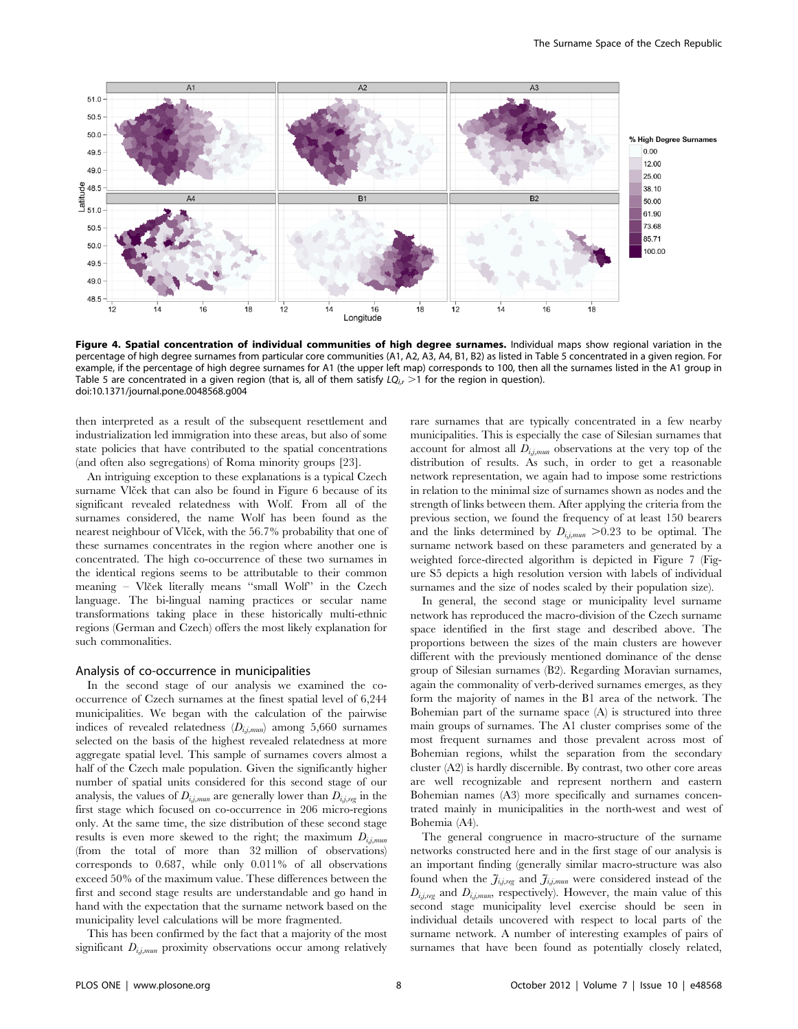

Figure 4. Spatial concentration of individual communities of high degree surnames. Individual maps show regional variation in the percentage of high degree surnames from particular core communities (A1, A2, A3, A4, B1, B2) as listed in Table 5 concentrated in a given region. For example, if the percentage of high degree surnames for A1 (the upper left map) corresponds to 100, then all the surnames listed in the A1 group in Table 5 are concentrated in a given region (that is, all of them satisfy  $LQ_{i,r} > 1$  for the region in question). doi:10.1371/journal.pone.0048568.g004

then interpreted as a result of the subsequent resettlement and industrialization led immigration into these areas, but also of some state policies that have contributed to the spatial concentrations (and often also segregations) of Roma minority groups [23].

An intriguing exception to these explanations is a typical Czech surname Vlček that can also be found in Figure 6 because of its significant revealed relatedness with Wolf. From all of the surnames considered, the name Wolf has been found as the nearest neighbour of Vlček, with the 56.7% probability that one of these surnames concentrates in the region where another one is concentrated. The high co-occurrence of these two surnames in the identical regions seems to be attributable to their common meaning – Vlček literally means "small Wolf" in the Czech language. The bi-lingual naming practices or secular name transformations taking place in these historically multi-ethnic regions (German and Czech) offers the most likely explanation for such commonalities.

#### Analysis of co-occurrence in municipalities

In the second stage of our analysis we examined the cooccurrence of Czech surnames at the finest spatial level of 6,244 municipalities. We began with the calculation of the pairwise indices of revealed relatedness  $(D_{ij,mm})$  among 5,660 surnames selected on the basis of the highest revealed relatedness at more aggregate spatial level. This sample of surnames covers almost a half of the Czech male population. Given the significantly higher number of spatial units considered for this second stage of our analysis, the values of  $D_{ij,mm}$  are generally lower than  $D_{ij,reg}$  in the first stage which focused on co-occurrence in 206 micro-regions only. At the same time, the size distribution of these second stage results is even more skewed to the right; the maximum  $D_{i,j,mmn}$ (from the total of more than 32 million of observations) corresponds to 0.687, while only 0.011% of all observations exceed 50% of the maximum value. These differences between the first and second stage results are understandable and go hand in hand with the expectation that the surname network based on the municipality level calculations will be more fragmented.

This has been confirmed by the fact that a majority of the most significant  $D_{i,j,mm}$  proximity observations occur among relatively

rare surnames that are typically concentrated in a few nearby municipalities. This is especially the case of Silesian surnames that account for almost all  $D_{i,j,mm}$  observations at the very top of the distribution of results. As such, in order to get a reasonable network representation, we again had to impose some restrictions in relation to the minimal size of surnames shown as nodes and the strength of links between them. After applying the criteria from the previous section, we found the frequency of at least 150 bearers and the links determined by  $D_{ij,mm} > 0.23$  to be optimal. The surname network based on these parameters and generated by a weighted force-directed algorithm is depicted in Figure 7 (Figure S5 depicts a high resolution version with labels of individual surnames and the size of nodes scaled by their population size).

In general, the second stage or municipality level surname network has reproduced the macro-division of the Czech surname space identified in the first stage and described above. The proportions between the sizes of the main clusters are however different with the previously mentioned dominance of the dense group of Silesian surnames (B2). Regarding Moravian surnames, again the commonality of verb-derived surnames emerges, as they form the majority of names in the B1 area of the network. The Bohemian part of the surname space (A) is structured into three main groups of surnames. The A1 cluster comprises some of the most frequent surnames and those prevalent across most of Bohemian regions, whilst the separation from the secondary cluster (A2) is hardly discernible. By contrast, two other core areas are well recognizable and represent northern and eastern Bohemian names (A3) more specifically and surnames concentrated mainly in municipalities in the north-west and west of Bohemia (A4).

The general congruence in macro-structure of the surname networks constructed here and in the first stage of our analysis is an important finding (generally similar macro-structure was also found when the  $\mathcal{J}_{ij,reg}$  and  $\mathcal{J}_{ij,mm}$  were considered instead of the  $D_{i,j,reg}$  and  $D_{i,j,num}$ , respectively). However, the main value of this second stage municipality level exercise should be seen in individual details uncovered with respect to local parts of the surname network. A number of interesting examples of pairs of surnames that have been found as potentially closely related,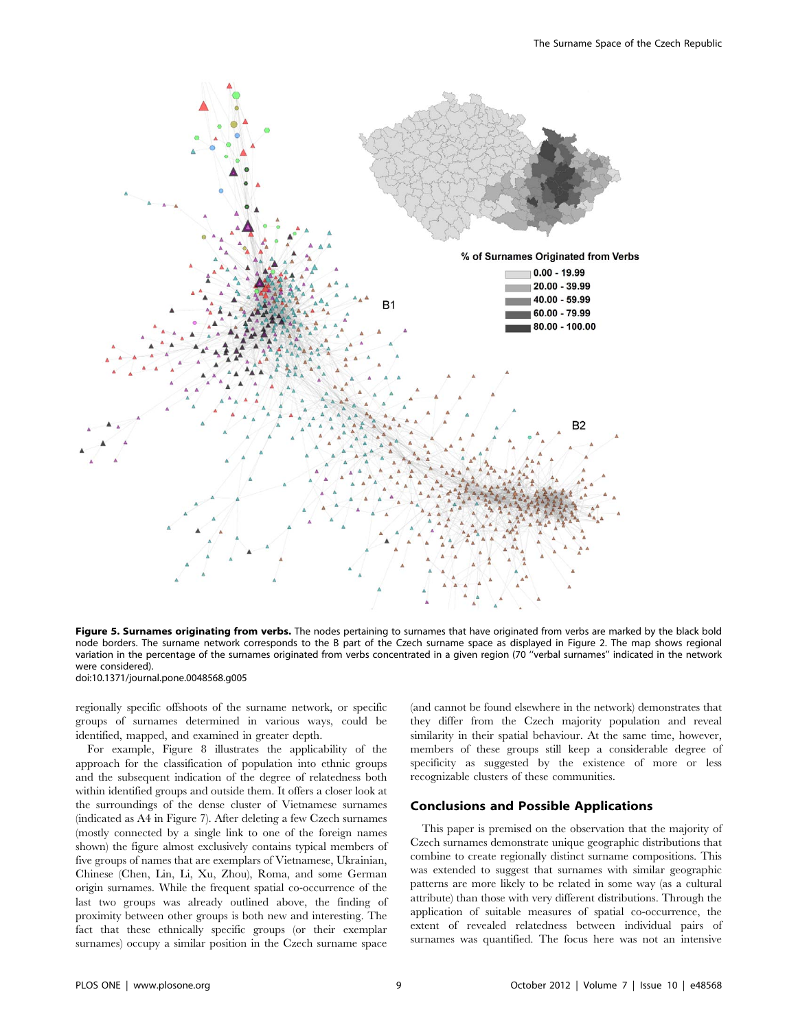

Figure 5. Surnames originating from verbs. The nodes pertaining to surnames that have originated from verbs are marked by the black bold node borders. The surname network corresponds to the B part of the Czech surname space as displayed in Figure 2. The map shows regional variation in the percentage of the surnames originated from verbs concentrated in a given region (70 "verbal surnames" indicated in the network were considered).

doi:10.1371/journal.pone.0048568.g005

regionally specific offshoots of the surname network, or specific groups of surnames determined in various ways, could be identified, mapped, and examined in greater depth.

For example, Figure 8 illustrates the applicability of the approach for the classification of population into ethnic groups and the subsequent indication of the degree of relatedness both within identified groups and outside them. It offers a closer look at the surroundings of the dense cluster of Vietnamese surnames (indicated as A4 in Figure 7). After deleting a few Czech surnames (mostly connected by a single link to one of the foreign names shown) the figure almost exclusively contains typical members of five groups of names that are exemplars of Vietnamese, Ukrainian, Chinese (Chen, Lin, Li, Xu, Zhou), Roma, and some German origin surnames. While the frequent spatial co-occurrence of the last two groups was already outlined above, the finding of proximity between other groups is both new and interesting. The fact that these ethnically specific groups (or their exemplar surnames) occupy a similar position in the Czech surname space

(and cannot be found elsewhere in the network) demonstrates that they differ from the Czech majority population and reveal similarity in their spatial behaviour. At the same time, however, members of these groups still keep a considerable degree of specificity as suggested by the existence of more or less recognizable clusters of these communities.

## Conclusions and Possible Applications

This paper is premised on the observation that the majority of Czech surnames demonstrate unique geographic distributions that combine to create regionally distinct surname compositions. This was extended to suggest that surnames with similar geographic patterns are more likely to be related in some way (as a cultural attribute) than those with very different distributions. Through the application of suitable measures of spatial co-occurrence, the extent of revealed relatedness between individual pairs of surnames was quantified. The focus here was not an intensive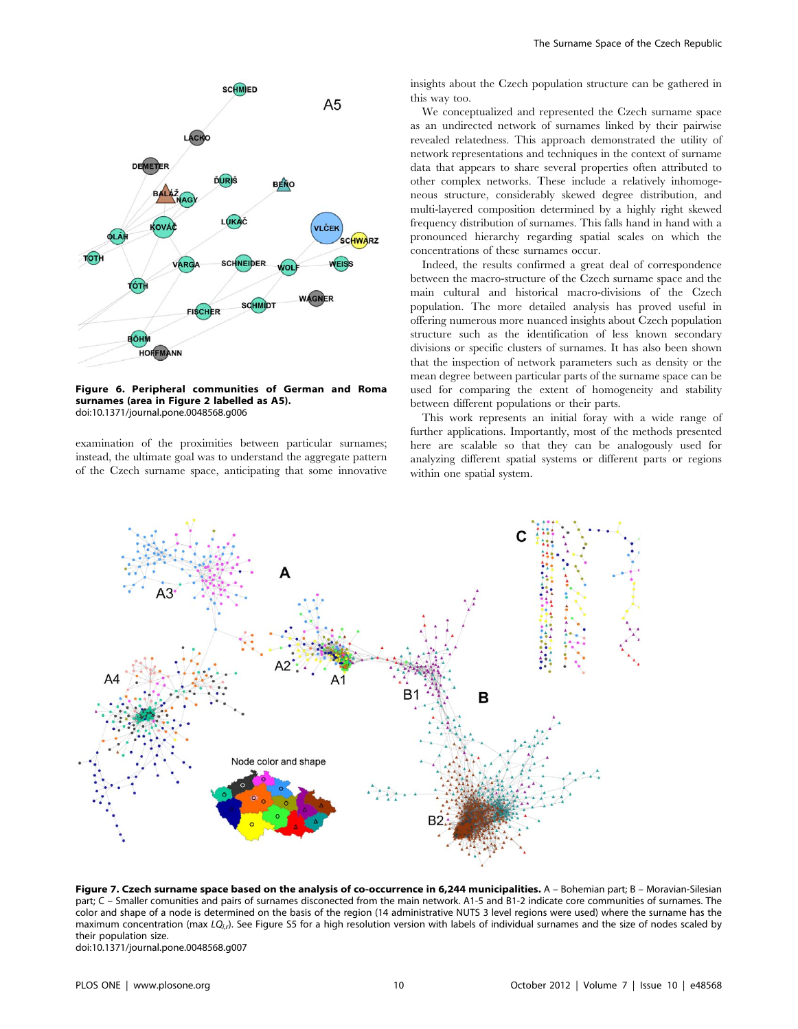

Figure 6. Peripheral communities of German and Roma surnames (area in Figure 2 labelled as A5). doi:10.1371/journal.pone.0048568.g006

examination of the proximities between particular surnames; instead, the ultimate goal was to understand the aggregate pattern of the Czech surname space, anticipating that some innovative insights about the Czech population structure can be gathered in this way too.

We conceptualized and represented the Czech surname space as an undirected network of surnames linked by their pairwise revealed relatedness. This approach demonstrated the utility of network representations and techniques in the context of surname data that appears to share several properties often attributed to other complex networks. These include a relatively inhomogeneous structure, considerably skewed degree distribution, and multi-layered composition determined by a highly right skewed frequency distribution of surnames. This falls hand in hand with a pronounced hierarchy regarding spatial scales on which the concentrations of these surnames occur.

Indeed, the results confirmed a great deal of correspondence between the macro-structure of the Czech surname space and the main cultural and historical macro-divisions of the Czech population. The more detailed analysis has proved useful in offering numerous more nuanced insights about Czech population structure such as the identification of less known secondary divisions or specific clusters of surnames. It has also been shown that the inspection of network parameters such as density or the mean degree between particular parts of the surname space can be used for comparing the extent of homogeneity and stability between different populations or their parts.

This work represents an initial foray with a wide range of further applications. Importantly, most of the methods presented here are scalable so that they can be analogously used for analyzing different spatial systems or different parts or regions within one spatial system.



Figure 7. Czech surname space based on the analysis of co-occurrence in 6,244 municipalities. A - Bohemian part; B - Moravian-Silesian part; C – Smaller comunities and pairs of surnames disconected from the main network. A1-5 and B1-2 indicate core communities of surnames. The color and shape of a node is determined on the basis of the region (14 administrative NUTS 3 level regions were used) where the surname has the maximum concentration (max  $LQ_{i,r}$ ). See Figure S5 for a high resolution version with labels of individual surnames and the size of nodes scaled by their population size.

doi:10.1371/journal.pone.0048568.g007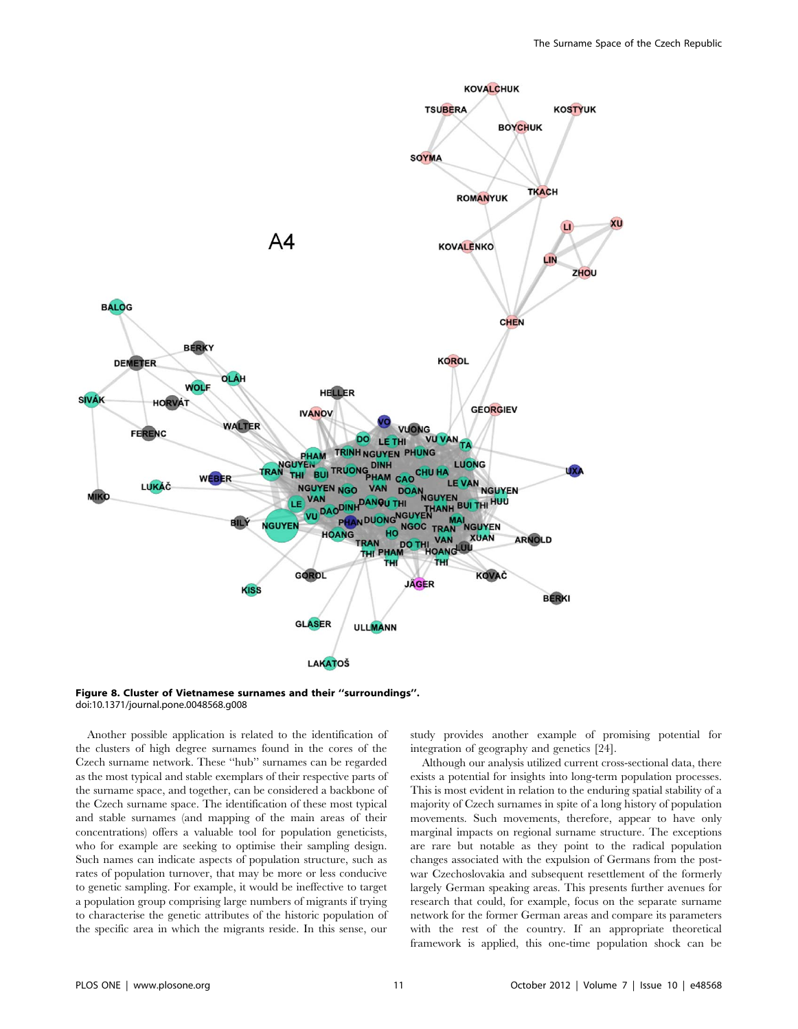



Another possible application is related to the identification of the clusters of high degree surnames found in the cores of the Czech surname network. These ''hub'' surnames can be regarded as the most typical and stable exemplars of their respective parts of the surname space, and together, can be considered a backbone of the Czech surname space. The identification of these most typical and stable surnames (and mapping of the main areas of their concentrations) offers a valuable tool for population geneticists, who for example are seeking to optimise their sampling design. Such names can indicate aspects of population structure, such as rates of population turnover, that may be more or less conducive to genetic sampling. For example, it would be ineffective to target a population group comprising large numbers of migrants if trying to characterise the genetic attributes of the historic population of the specific area in which the migrants reside. In this sense, our

study provides another example of promising potential for integration of geography and genetics [24].

Although our analysis utilized current cross-sectional data, there exists a potential for insights into long-term population processes. This is most evident in relation to the enduring spatial stability of a majority of Czech surnames in spite of a long history of population movements. Such movements, therefore, appear to have only marginal impacts on regional surname structure. The exceptions are rare but notable as they point to the radical population changes associated with the expulsion of Germans from the postwar Czechoslovakia and subsequent resettlement of the formerly largely German speaking areas. This presents further avenues for research that could, for example, focus on the separate surname network for the former German areas and compare its parameters with the rest of the country. If an appropriate theoretical framework is applied, this one-time population shock can be